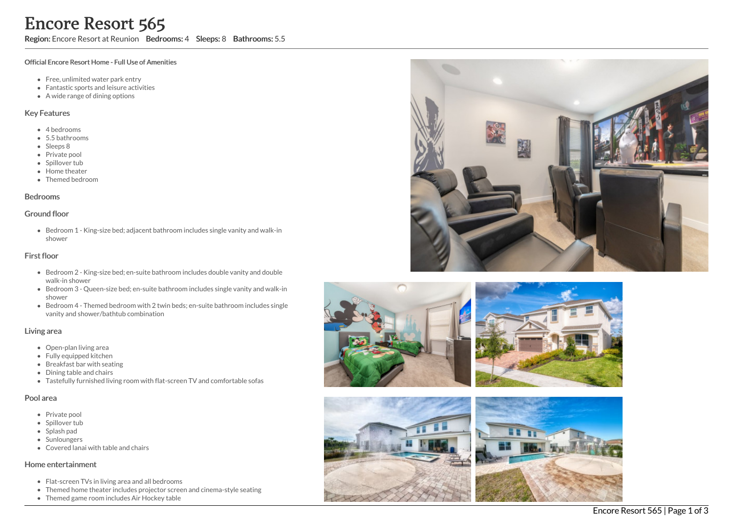Region: Encore Resort at Reunion Bedrooms: 4 Sleeps: 8 Bathrooms: 5.5

#### Official Encore Resort Home - Full Use of Amenities

- Free, unlimited water park entry
- Fantastic sports and leisure activities
- A wide range of dining options

### Key Features

- 4 b e d r o o m s
- 5.5 b a t h r o o m s
- Sleeps 8
- Private pool
- Spillover tub
- Home theate r
- Themed bedroom

#### **Bedrooms**

#### Ground floor

Bedroom 1 - King-size bed; adjacent bathroom includes single vanity and walk-in s h o w e r

### First floor

- Bedroom 2 King-size bed; en-suite bathroom includes double vanity and double walk-in shower
- Bedroom 3 Queen-size bed; en-suite bathroom includes single vanity and walk-in s h o w e r
- Bedroom 4 Themed bedroom with 2 twin beds; en-suite bathroom includes single vanity and shower/bathtub combination

### Living area

- Open-plan living area
- Fully equipped kitchen
- Breakfast bar with seating
- Dining table and chairs
- Tastefully furnished living room with flat-screen TV and comfortable sofas

### Pool area

- Private pool
- Spillover tub
- Splash pad
- Sunloungers
- Covered lanai with table and chairs

### Home entertainment

- Flat-screen TVs in living area and all bedrooms
- Themed home theater includes projector screen and cinema-style seating
- Themed game room includes Air Hockey table







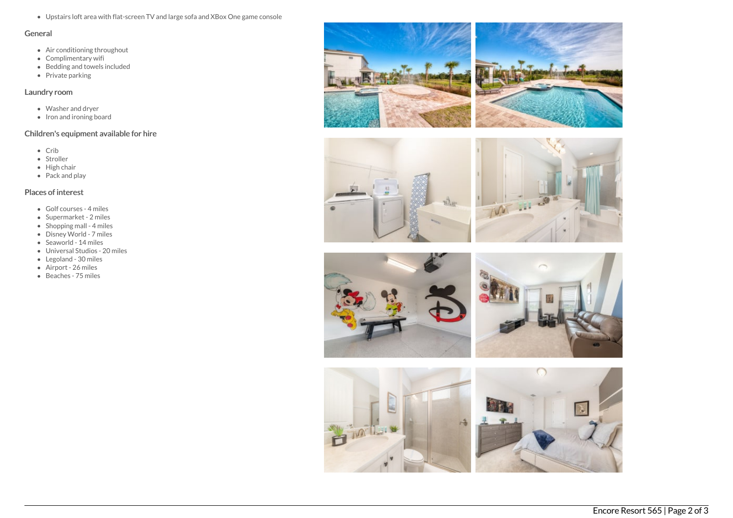Upstairs loft area with flat-screen TV and large sofa and XBox One game console

### General

- Air conditioning throughout
- Complimentary wifi
- Bedding and towels included
- Private parking

## Laundry room

- Washer and dryer
- Iron and ironing board

# Children's equipment available for hire

- Crib
- Stroller
- $\bullet$  High chair
- Pack and play

# Places of interest

- Golf courses 4 miles
- Supermarket 2 miles
- Shopping mall 4 miles
- Disney World 7 miles
- Seaworld 14 miles
- Universal Studios 20 miles
- Legoland 30 miles
- Airport 26 miles
- Beaches 75 miles